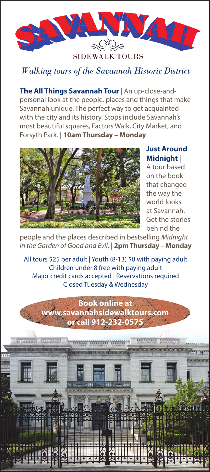

## *Walking tours of the Savannah Historic District*

**The All Things Savannah Tour** | An up-close-andpersonal look at the people, places and things that make Savannah unique. The perfect way to get acquainted with the city and its history. Stops include Savannah's most beautiful squares, Factors Walk, City Market, and Forsyth Park. | **10am Thursday – Monday**



**Just Around Midnight** |

A tour based on the book that changed the way the world looks at Savannah. Get the stories behind the

people and the places described in bestselling *Midnight in the Garden of Good and Evil*. | **2pm Thursday – Monday**

All tours \$25 per adult | Youth (8-13) \$8 with paying adult Children under 8 free with paying adult Major credit cards accepted | Reservations required Closed Tuesday & Wednesday